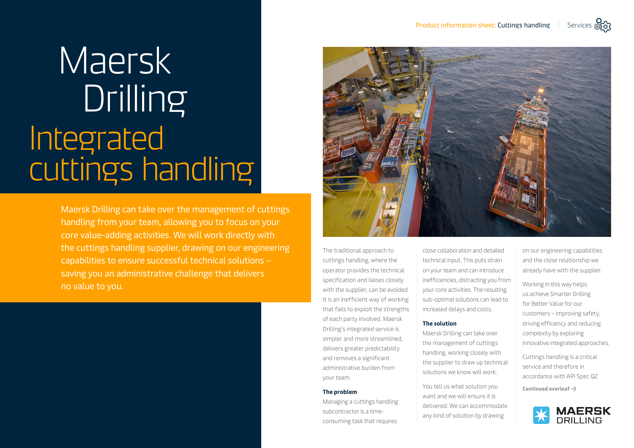# Maersk **Drilling** Integrated cuttings handling

Maersk Drilling can take over the management of cuttings handling from your team, allowing you to focus on your core value-adding activities. We will work directly with the cuttings handling supplier, drawing on our engineering capabilities to ensure successful technical solutions – saving you an administrative challenge that delivers no value to you.



The traditional approach to cuttings handling, where the operator provides the technical specification and liaises closely with the supplier, can be avoided. It is an inefficient way of working that fails to exploit the strengths of each party involved. Maersk Drilling's integrated service is simpler and more streamlined, delivers greater predictability and removes a significant administrative burden from your team.

#### **The problem**

Managing a cuttings handling subcontractor is a timeconsuming task that requires

close collaboration and detailed technical input. This puts strain on your team and can introduce inefficiencies, distracting you from your core activities. The resulting sub-optimal solutions can lead to increased delays and costs.

#### **The solution**

Maersk Drilling can take over the management of cuttings handling, working closely with the supplier to draw up technical solutions we know will work.

You tell us what solution you want and we will ensure it is delivered. We can accommodate any kind of solution by drawing

on our engineering capabilities and the close relationship we already have with the supplier.

Working in this way helps us achieve Smarter Drilling for Better Value for our customers – improving safety, driving efficiency and reducing complexity by exploring innovative integrated approaches.

Cuttings handling is a critical service and therefore in accordance with API Spec Q2

**Continued overleaf**